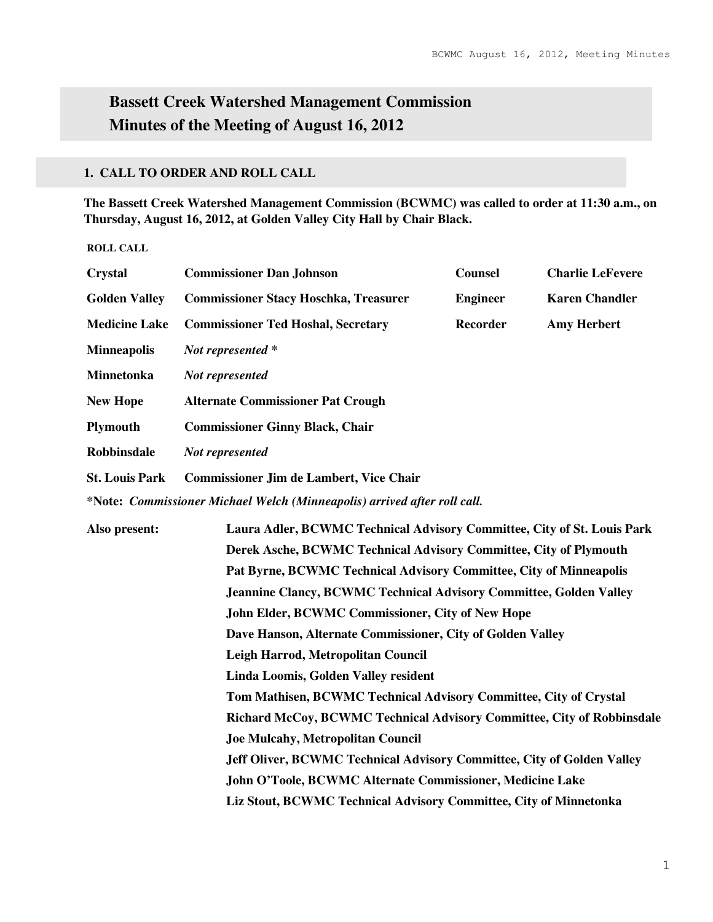# **Bassett Creek Watershed Management Commission Minutes of the Meeting of August 16, 2012**

## **1. CALL TO ORDER AND ROLL CALL**

**The Bassett Creek Watershed Management Commission (BCWMC) was called to order at 11:30 a.m., on Thursday, August 16, 2012, at Golden Valley City Hall by Chair Black.** 

**ROLL CALL** 

| <b>Crystal</b>        | <b>Commissioner Dan Johnson</b>                                          | <b>Counsel</b>                                   | <b>Charlie LeFevere</b> |  |  |
|-----------------------|--------------------------------------------------------------------------|--------------------------------------------------|-------------------------|--|--|
| <b>Golden Valley</b>  | <b>Commissioner Stacy Hoschka, Treasurer</b>                             | <b>Engineer</b>                                  | <b>Karen Chandler</b>   |  |  |
| <b>Medicine Lake</b>  | <b>Commissioner Ted Hoshal, Secretary</b>                                | Recorder                                         | <b>Amy Herbert</b>      |  |  |
| <b>Minneapolis</b>    | Not represented *                                                        |                                                  |                         |  |  |
| Minnetonka            | Not represented                                                          |                                                  |                         |  |  |
| <b>New Hope</b>       | <b>Alternate Commissioner Pat Crough</b>                                 |                                                  |                         |  |  |
| <b>Plymouth</b>       | <b>Commissioner Ginny Black, Chair</b>                                   |                                                  |                         |  |  |
| <b>Robbinsdale</b>    | Not represented                                                          |                                                  |                         |  |  |
| <b>St. Louis Park</b> | <b>Commissioner Jim de Lambert, Vice Chair</b>                           |                                                  |                         |  |  |
|                       | *Note: Commissioner Michael Welch (Minneapolis) arrived after roll call. |                                                  |                         |  |  |
| Also present:         | Laura Adler, BCWMC Technical Advisory Committee, City of St. Louis Park  |                                                  |                         |  |  |
|                       | Derek Asche, BCWMC Technical Advisory Committee, City of Plymouth        |                                                  |                         |  |  |
|                       | Pat Byrne, BCWMC Technical Advisory Committee, City of Minneapolis       |                                                  |                         |  |  |
|                       | Jeannine Clancy, BCWMC Technical Advisory Committee, Golden Valley       |                                                  |                         |  |  |
|                       |                                                                          | John Elder, BCWMC Commissioner, City of New Hope |                         |  |  |
|                       | Dave Hanson, Alternate Commissioner, City of Golden Valley               |                                                  |                         |  |  |
|                       | Leigh Harrod, Metropolitan Council                                       |                                                  |                         |  |  |
|                       | Linda Loomis, Golden Valley resident                                     |                                                  |                         |  |  |
|                       | Tom Mathisen, BCWMC Technical Advisory Committee, City of Crystal        |                                                  |                         |  |  |
|                       | Richard McCoy, BCWMC Technical Advisory Committee, City of Robbinsdale   |                                                  |                         |  |  |
|                       | <b>Joe Mulcahy, Metropolitan Council</b>                                 |                                                  |                         |  |  |
|                       | Jeff Oliver, BCWMC Technical Advisory Committee, City of Golden Valley   |                                                  |                         |  |  |
|                       | John O'Toole, BCWMC Alternate Commissioner, Medicine Lake                |                                                  |                         |  |  |
|                       | Liz Stout, BCWMC Technical Advisory Committee, City of Minnetonka        |                                                  |                         |  |  |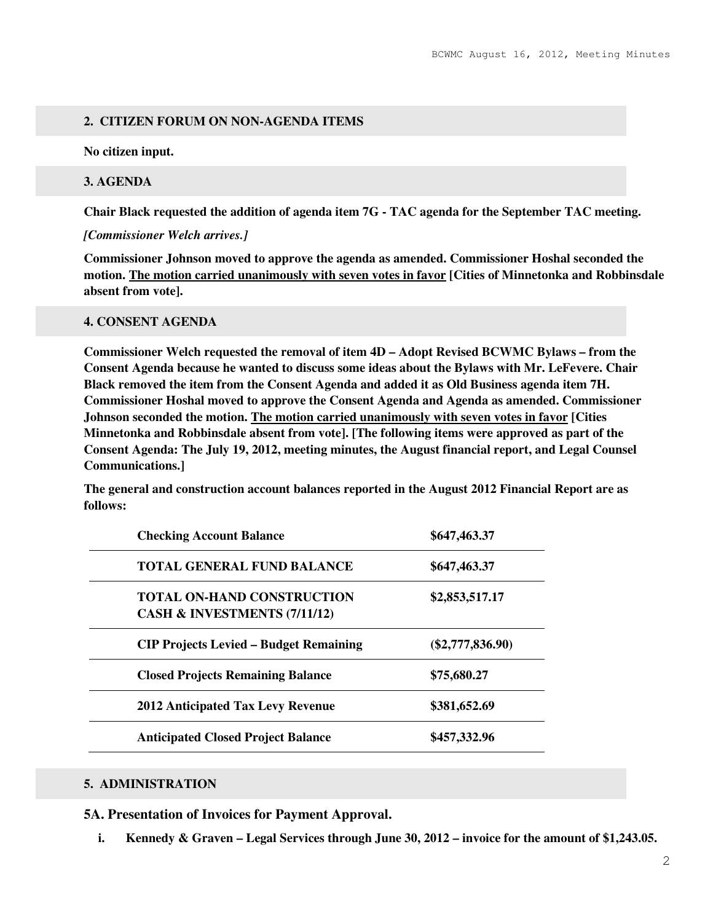## **2. CITIZEN FORUM ON NON-AGENDA ITEMS**

**No citizen input.** 

#### **3. AGENDA**

**Chair Black requested the addition of agenda item 7G - TAC agenda for the September TAC meeting.** 

#### *[Commissioner Welch arrives.]*

**Commissioner Johnson moved to approve the agenda as amended. Commissioner Hoshal seconded the motion. The motion carried unanimously with seven votes in favor [Cities of Minnetonka and Robbinsdale absent from vote].** 

#### **4. CONSENT AGENDA**

**Commissioner Welch requested the removal of item 4D – Adopt Revised BCWMC Bylaws – from the Consent Agenda because he wanted to discuss some ideas about the Bylaws with Mr. LeFevere. Chair Black removed the item from the Consent Agenda and added it as Old Business agenda item 7H. Commissioner Hoshal moved to approve the Consent Agenda and Agenda as amended. Commissioner Johnson seconded the motion. The motion carried unanimously with seven votes in favor [Cities Minnetonka and Robbinsdale absent from vote]. [The following items were approved as part of the Consent Agenda: The July 19, 2012, meeting minutes, the August financial report, and Legal Counsel Communications.]** 

**The general and construction account balances reported in the August 2012 Financial Report are as follows:** 

| <b>Checking Account Balance</b>                                   | \$647,463.37       |
|-------------------------------------------------------------------|--------------------|
| <b>TOTAL GENERAL FUND BALANCE</b>                                 | \$647,463.37       |
| <b>TOTAL ON-HAND CONSTRUCTION</b><br>CASH & INVESTMENTS (7/11/12) | \$2,853,517.17     |
| <b>CIP Projects Levied – Budget Remaining</b>                     | $(\$2,777,836.90)$ |
| <b>Closed Projects Remaining Balance</b>                          | \$75,680.27        |
| <b>2012 Anticipated Tax Levy Revenue</b>                          | \$381,652.69       |
| <b>Anticipated Closed Project Balance</b>                         | \$457,332.96       |

## **5. ADMINISTRATION**

**5A. Presentation of Invoices for Payment Approval.**

**i. Kennedy & Graven – Legal Services through June 30, 2012 – invoice for the amount of \$1,243.05.**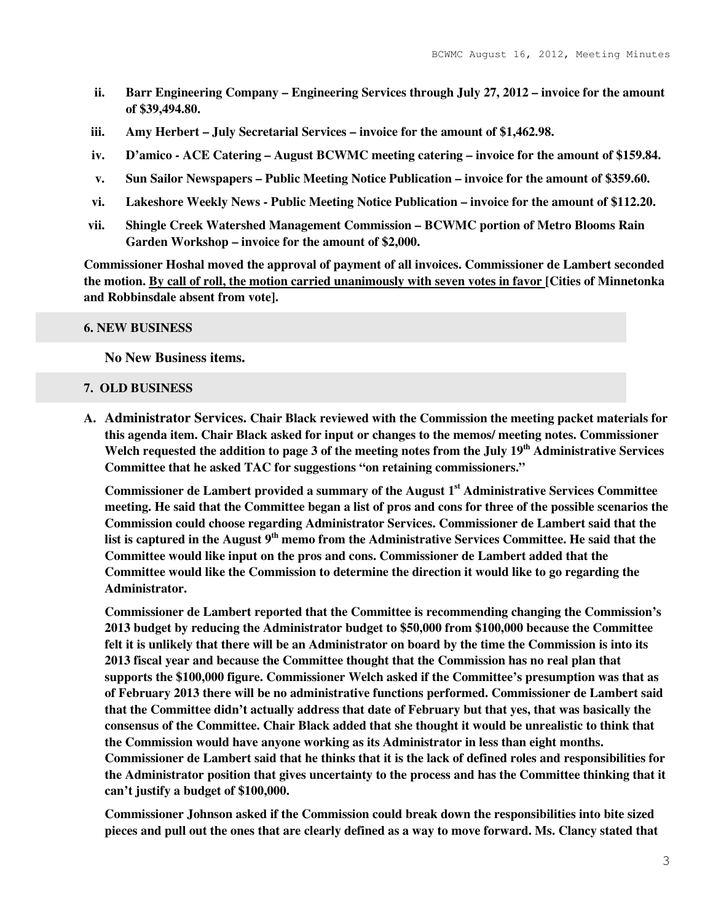- **ii. Barr Engineering Company Engineering Services through July 27, 2012 invoice for the amount of \$39,494.80.**
- **iii. Amy Herbert July Secretarial Services invoice for the amount of \$1,462.98.**
- **iv. D'amico ACE Catering August BCWMC meeting catering invoice for the amount of \$159.84.**
- **v. Sun Sailor Newspapers Public Meeting Notice Publication invoice for the amount of \$359.60.**
- **vi. Lakeshore Weekly News Public Meeting Notice Publication invoice for the amount of \$112.20.**
- **vii. Shingle Creek Watershed Management Commission BCWMC portion of Metro Blooms Rain Garden Workshop – invoice for the amount of \$2,000.**

**Commissioner Hoshal moved the approval of payment of all invoices. Commissioner de Lambert seconded the motion. By call of roll, the motion carried unanimously with seven votes in favor [Cities of Minnetonka and Robbinsdale absent from vote].** 

#### **6. NEW BUSINESS**

**No New Business items.** 

#### **7. OLD BUSINESS**

**A. Administrator Services. Chair Black reviewed with the Commission the meeting packet materials for this agenda item. Chair Black asked for input or changes to the memos/ meeting notes. Commissioner Welch requested the addition to page 3 of the meeting notes from the July 19th Administrative Services Committee that he asked TAC for suggestions "on retaining commissioners."** 

**Commissioner de Lambert provided a summary of the August 1st Administrative Services Committee meeting. He said that the Committee began a list of pros and cons for three of the possible scenarios the Commission could choose regarding Administrator Services. Commissioner de Lambert said that the list is captured in the August 9th memo from the Administrative Services Committee. He said that the Committee would like input on the pros and cons. Commissioner de Lambert added that the Committee would like the Commission to determine the direction it would like to go regarding the Administrator.** 

**Commissioner de Lambert reported that the Committee is recommending changing the Commission's 2013 budget by reducing the Administrator budget to \$50,000 from \$100,000 because the Committee felt it is unlikely that there will be an Administrator on board by the time the Commission is into its 2013 fiscal year and because the Committee thought that the Commission has no real plan that supports the \$100,000 figure. Commissioner Welch asked if the Committee's presumption was that as of February 2013 there will be no administrative functions performed. Commissioner de Lambert said that the Committee didn't actually address that date of February but that yes, that was basically the consensus of the Committee. Chair Black added that she thought it would be unrealistic to think that the Commission would have anyone working as its Administrator in less than eight months. Commissioner de Lambert said that he thinks that it is the lack of defined roles and responsibilities for the Administrator position that gives uncertainty to the process and has the Committee thinking that it can't justify a budget of \$100,000.** 

**Commissioner Johnson asked if the Commission could break down the responsibilities into bite sized pieces and pull out the ones that are clearly defined as a way to move forward. Ms. Clancy stated that**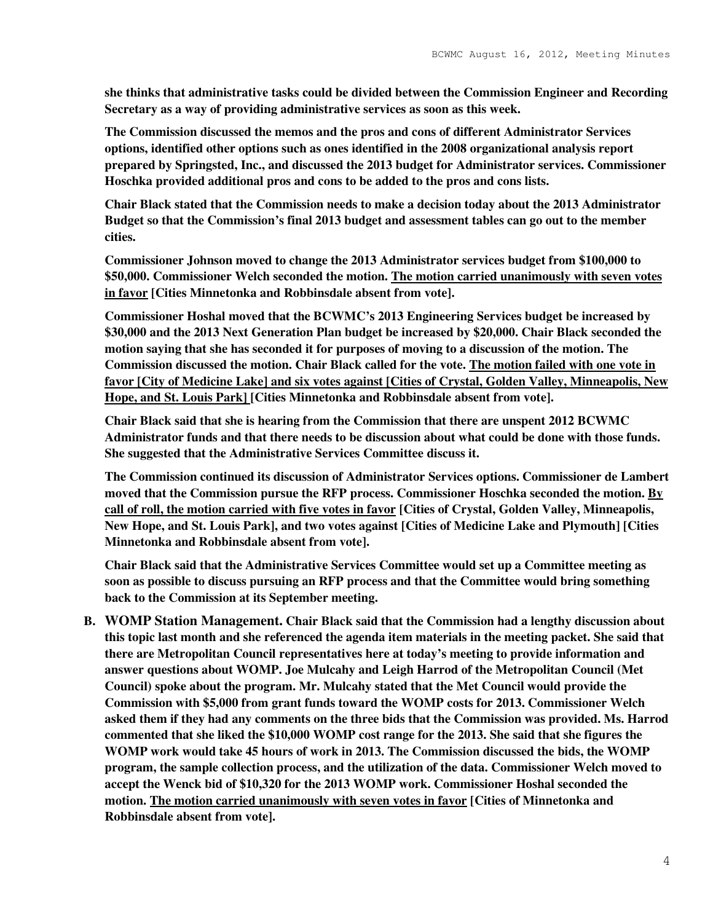**she thinks that administrative tasks could be divided between the Commission Engineer and Recording Secretary as a way of providing administrative services as soon as this week.** 

**The Commission discussed the memos and the pros and cons of different Administrator Services options, identified other options such as ones identified in the 2008 organizational analysis report prepared by Springsted, Inc., and discussed the 2013 budget for Administrator services. Commissioner Hoschka provided additional pros and cons to be added to the pros and cons lists.** 

**Chair Black stated that the Commission needs to make a decision today about the 2013 Administrator Budget so that the Commission's final 2013 budget and assessment tables can go out to the member cities.** 

**Commissioner Johnson moved to change the 2013 Administrator services budget from \$100,000 to \$50,000. Commissioner Welch seconded the motion. The motion carried unanimously with seven votes in favor [Cities Minnetonka and Robbinsdale absent from vote].** 

**Commissioner Hoshal moved that the BCWMC's 2013 Engineering Services budget be increased by \$30,000 and the 2013 Next Generation Plan budget be increased by \$20,000. Chair Black seconded the motion saying that she has seconded it for purposes of moving to a discussion of the motion. The Commission discussed the motion. Chair Black called for the vote. The motion failed with one vote in favor [City of Medicine Lake] and six votes against [Cities of Crystal, Golden Valley, Minneapolis, New Hope, and St. Louis Park] [Cities Minnetonka and Robbinsdale absent from vote].** 

**Chair Black said that she is hearing from the Commission that there are unspent 2012 BCWMC Administrator funds and that there needs to be discussion about what could be done with those funds. She suggested that the Administrative Services Committee discuss it.** 

**The Commission continued its discussion of Administrator Services options. Commissioner de Lambert moved that the Commission pursue the RFP process. Commissioner Hoschka seconded the motion. By call of roll, the motion carried with five votes in favor [Cities of Crystal, Golden Valley, Minneapolis, New Hope, and St. Louis Park], and two votes against [Cities of Medicine Lake and Plymouth] [Cities Minnetonka and Robbinsdale absent from vote].** 

**Chair Black said that the Administrative Services Committee would set up a Committee meeting as soon as possible to discuss pursuing an RFP process and that the Committee would bring something back to the Commission at its September meeting.** 

**B. WOMP Station Management. Chair Black said that the Commission had a lengthy discussion about this topic last month and she referenced the agenda item materials in the meeting packet. She said that there are Metropolitan Council representatives here at today's meeting to provide information and answer questions about WOMP. Joe Mulcahy and Leigh Harrod of the Metropolitan Council (Met Council) spoke about the program. Mr. Mulcahy stated that the Met Council would provide the Commission with \$5,000 from grant funds toward the WOMP costs for 2013. Commissioner Welch asked them if they had any comments on the three bids that the Commission was provided. Ms. Harrod commented that she liked the \$10,000 WOMP cost range for the 2013. She said that she figures the WOMP work would take 45 hours of work in 2013. The Commission discussed the bids, the WOMP program, the sample collection process, and the utilization of the data. Commissioner Welch moved to accept the Wenck bid of \$10,320 for the 2013 WOMP work. Commissioner Hoshal seconded the motion. The motion carried unanimously with seven votes in favor [Cities of Minnetonka and Robbinsdale absent from vote].**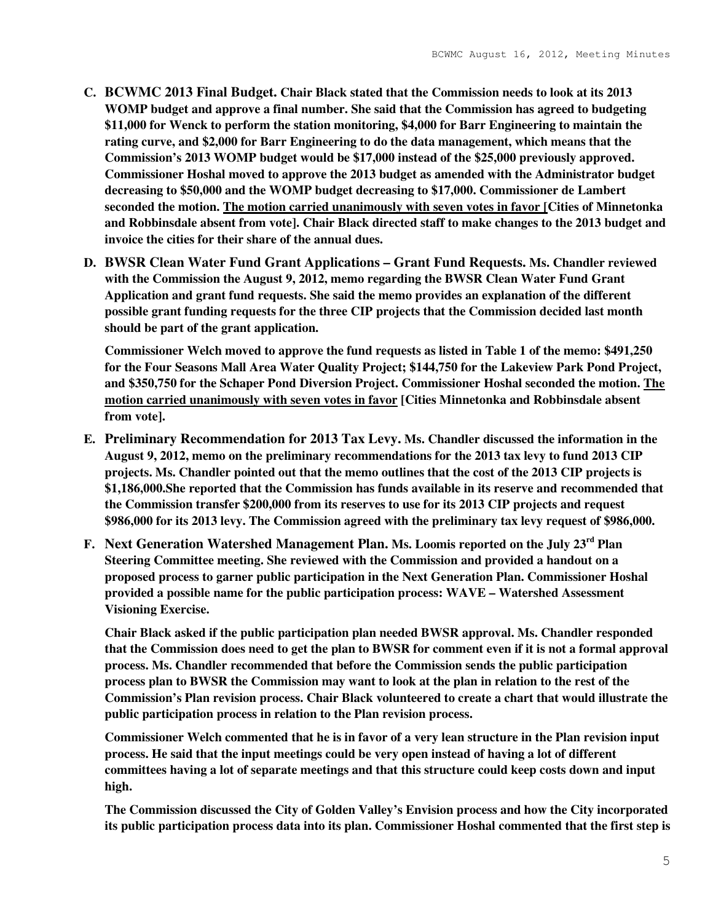- **C. BCWMC 2013 Final Budget. Chair Black stated that the Commission needs to look at its 2013 WOMP budget and approve a final number. She said that the Commission has agreed to budgeting \$11,000 for Wenck to perform the station monitoring, \$4,000 for Barr Engineering to maintain the rating curve, and \$2,000 for Barr Engineering to do the data management, which means that the Commission's 2013 WOMP budget would be \$17,000 instead of the \$25,000 previously approved. Commissioner Hoshal moved to approve the 2013 budget as amended with the Administrator budget decreasing to \$50,000 and the WOMP budget decreasing to \$17,000. Commissioner de Lambert seconded the motion. The motion carried unanimously with seven votes in favor [Cities of Minnetonka and Robbinsdale absent from vote]. Chair Black directed staff to make changes to the 2013 budget and invoice the cities for their share of the annual dues.**
- **D. BWSR Clean Water Fund Grant Applications Grant Fund Requests. Ms. Chandler reviewed with the Commission the August 9, 2012, memo regarding the BWSR Clean Water Fund Grant Application and grant fund requests. She said the memo provides an explanation of the different possible grant funding requests for the three CIP projects that the Commission decided last month should be part of the grant application.**

**Commissioner Welch moved to approve the fund requests as listed in Table 1 of the memo: \$491,250 for the Four Seasons Mall Area Water Quality Project; \$144,750 for the Lakeview Park Pond Project, and \$350,750 for the Schaper Pond Diversion Project. Commissioner Hoshal seconded the motion. The motion carried unanimously with seven votes in favor [Cities Minnetonka and Robbinsdale absent from vote].** 

- **E. Preliminary Recommendation for 2013 Tax Levy. Ms. Chandler discussed the information in the August 9, 2012, memo on the preliminary recommendations for the 2013 tax levy to fund 2013 CIP projects. Ms. Chandler pointed out that the memo outlines that the cost of the 2013 CIP projects is \$1,186,000.She reported that the Commission has funds available in its reserve and recommended that the Commission transfer \$200,000 from its reserves to use for its 2013 CIP projects and request \$986,000 for its 2013 levy. The Commission agreed with the preliminary tax levy request of \$986,000.**
- **F. Next Generation Watershed Management Plan. Ms. Loomis reported on the July 23rd Plan Steering Committee meeting. She reviewed with the Commission and provided a handout on a proposed process to garner public participation in the Next Generation Plan. Commissioner Hoshal provided a possible name for the public participation process: WAVE – Watershed Assessment Visioning Exercise.**

**Chair Black asked if the public participation plan needed BWSR approval. Ms. Chandler responded that the Commission does need to get the plan to BWSR for comment even if it is not a formal approval process. Ms. Chandler recommended that before the Commission sends the public participation process plan to BWSR the Commission may want to look at the plan in relation to the rest of the Commission's Plan revision process. Chair Black volunteered to create a chart that would illustrate the public participation process in relation to the Plan revision process.** 

**Commissioner Welch commented that he is in favor of a very lean structure in the Plan revision input process. He said that the input meetings could be very open instead of having a lot of different committees having a lot of separate meetings and that this structure could keep costs down and input high.** 

**The Commission discussed the City of Golden Valley's Envision process and how the City incorporated its public participation process data into its plan. Commissioner Hoshal commented that the first step is**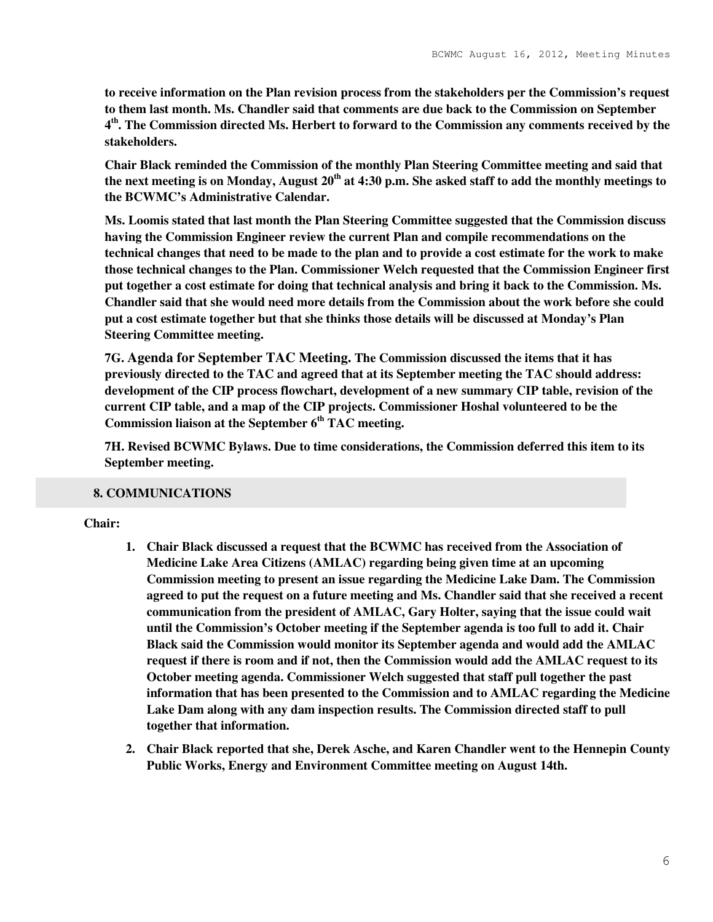**to receive information on the Plan revision process from the stakeholders per the Commission's request to them last month. Ms. Chandler said that comments are due back to the Commission on September 4 th. The Commission directed Ms. Herbert to forward to the Commission any comments received by the stakeholders.** 

**Chair Black reminded the Commission of the monthly Plan Steering Committee meeting and said that the next meeting is on Monday, August 20th at 4:30 p.m. She asked staff to add the monthly meetings to the BCWMC's Administrative Calendar.** 

**Ms. Loomis stated that last month the Plan Steering Committee suggested that the Commission discuss having the Commission Engineer review the current Plan and compile recommendations on the technical changes that need to be made to the plan and to provide a cost estimate for the work to make those technical changes to the Plan. Commissioner Welch requested that the Commission Engineer first put together a cost estimate for doing that technical analysis and bring it back to the Commission. Ms. Chandler said that she would need more details from the Commission about the work before she could put a cost estimate together but that she thinks those details will be discussed at Monday's Plan Steering Committee meeting.** 

**7G. Agenda for September TAC Meeting. The Commission discussed the items that it has previously directed to the TAC and agreed that at its September meeting the TAC should address: development of the CIP process flowchart, development of a new summary CIP table, revision of the current CIP table, and a map of the CIP projects. Commissioner Hoshal volunteered to be the Commission liaison at the September 6th TAC meeting.** 

**7H. Revised BCWMC Bylaws. Due to time considerations, the Commission deferred this item to its September meeting.** 

## **8. COMMUNICATIONS**

## **Chair:**

- **1. Chair Black discussed a request that the BCWMC has received from the Association of Medicine Lake Area Citizens (AMLAC) regarding being given time at an upcoming Commission meeting to present an issue regarding the Medicine Lake Dam. The Commission agreed to put the request on a future meeting and Ms. Chandler said that she received a recent communication from the president of AMLAC, Gary Holter, saying that the issue could wait until the Commission's October meeting if the September agenda is too full to add it. Chair Black said the Commission would monitor its September agenda and would add the AMLAC request if there is room and if not, then the Commission would add the AMLAC request to its October meeting agenda. Commissioner Welch suggested that staff pull together the past information that has been presented to the Commission and to AMLAC regarding the Medicine Lake Dam along with any dam inspection results. The Commission directed staff to pull together that information.**
- **2. Chair Black reported that she, Derek Asche, and Karen Chandler went to the Hennepin County Public Works, Energy and Environment Committee meeting on August 14th.**